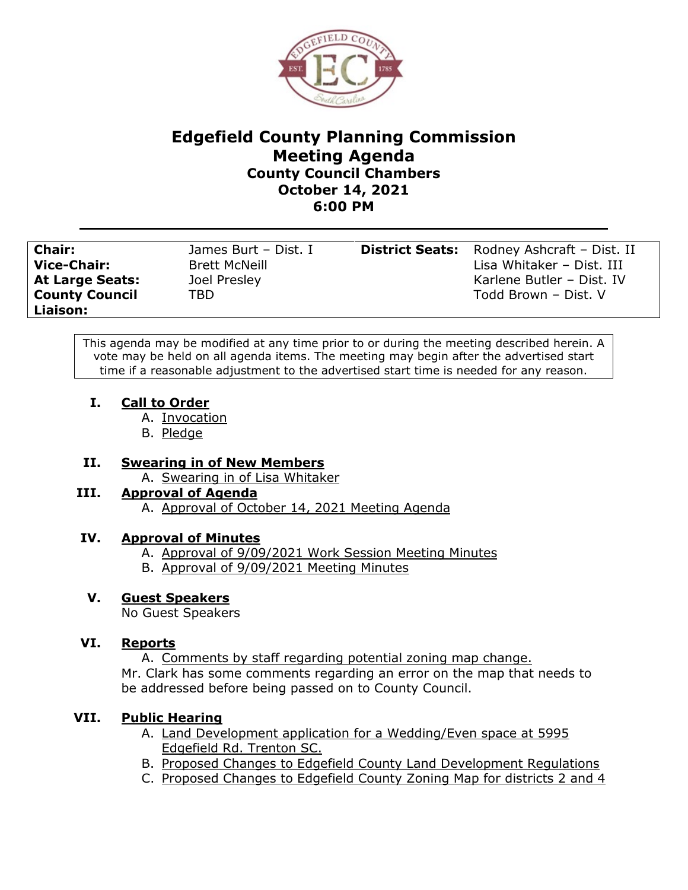

# **Edgefield County Planning Commission Meeting Agenda County Council Chambers October 14, 2021 6:00 PM**

| <b>Chair:</b>          | James Burt - Dist. I | <b>District Seats:</b> Rodney Ashcraft - Dist. II |
|------------------------|----------------------|---------------------------------------------------|
| <b>Vice-Chair:</b>     | <b>Brett McNeill</b> | Lisa Whitaker - Dist. III                         |
| <b>At Large Seats:</b> | Joel Presley         | Karlene Butler - Dist. IV                         |
| <b>County Council</b>  | TBD.                 | Todd Brown - Dist. V                              |
| Liaison:               |                      |                                                   |

This agenda may be modified at any time prior to or during the meeting described herein. A vote may be held on all agenda items. The meeting may begin after the advertised start time if a reasonable adjustment to the advertised start time is needed for any reason.

- **I. Call to Order**
	- A. Invocation
	- B. Pledge

## **II. Swearing in of New Members**

A. Swearing in of Lisa Whitaker

## **III. Approval of Agenda**

A. Approval of October 14, 2021 Meeting Agenda

## **IV. Approval of Minutes**

- A. Approval of 9/09/2021 Work Session Meeting Minutes
- B. Approval of 9/09/2021 Meeting Minutes

## **V. Guest Speakers**

No Guest Speakers

## **VI. Reports**

A. Comments by staff regarding potential zoning map change. Mr. Clark has some comments regarding an error on the map that needs to be addressed before being passed on to County Council.

# **VII. Public Hearing**

- A. Land Development application for a Wedding/Even space at 5995 Edgefield Rd. Trenton SC.
- B. Proposed Changes to Edgefield County Land Development Regulations
- C. Proposed Changes to Edgefield County Zoning Map for districts 2 and 4